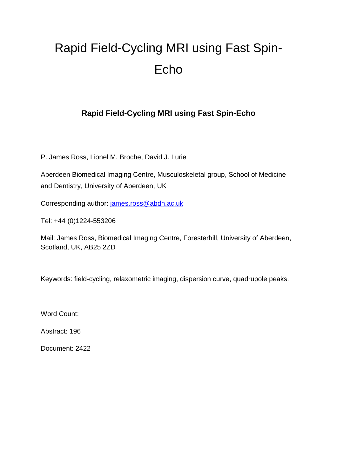# Rapid Field-Cycling MRI using Fast Spin-Echo

### **Rapid Field-Cycling MRI using Fast Spin-Echo**

P. James Ross, Lionel M. Broche, David J. Lurie

Aberdeen Biomedical Imaging Centre, Musculoskeletal group, School of Medicine and Dentistry, University of Aberdeen, UK

Corresponding author: [james.ross@abdn.ac.uk](mailto:james.ross@abdn.ac.uk)

Tel: +44 (0)1224-553206

Mail: James Ross, Biomedical Imaging Centre, Foresterhill, University of Aberdeen, Scotland, UK, AB25 2ZD

Keywords: field-cycling, relaxometric imaging, dispersion curve, quadrupole peaks.

Word Count:

Abstract: 196

Document: 2422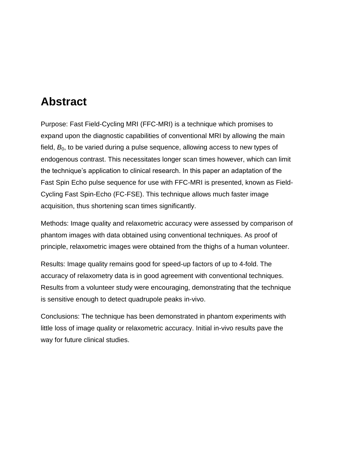### **Abstract**

Purpose: Fast Field-Cycling MRI (FFC-MRI) is a technique which promises to expand upon the diagnostic capabilities of conventional MRI by allowing the main field,  $B<sub>0</sub>$ , to be varied during a pulse sequence, allowing access to new types of endogenous contrast. This necessitates longer scan times however, which can limit the technique's application to clinical research. In this paper an adaptation of the Fast Spin Echo pulse sequence for use with FFC-MRI is presented, known as Field-Cycling Fast Spin-Echo (FC-FSE). This technique allows much faster image acquisition, thus shortening scan times significantly.

Methods: Image quality and relaxometric accuracy were assessed by comparison of phantom images with data obtained using conventional techniques. As proof of principle, relaxometric images were obtained from the thighs of a human volunteer.

Results: Image quality remains good for speed-up factors of up to 4-fold. The accuracy of relaxometry data is in good agreement with conventional techniques. Results from a volunteer study were encouraging, demonstrating that the technique is sensitive enough to detect quadrupole peaks in-vivo.

Conclusions: The technique has been demonstrated in phantom experiments with little loss of image quality or relaxometric accuracy. Initial in-vivo results pave the way for future clinical studies.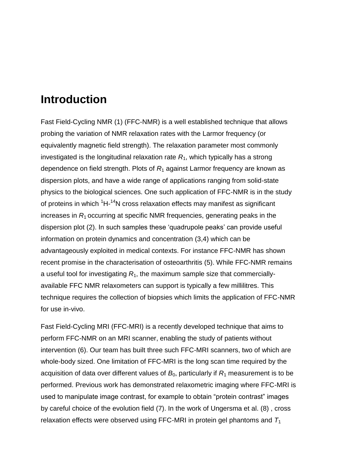### **Introduction**

Fast Field-Cycling NMR (1) (FFC-NMR) is a well established technique that allows probing the variation of NMR relaxation rates with the Larmor frequency (or equivalently magnetic field strength). The relaxation parameter most commonly investigated is the longitudinal relaxation rate *R*1, which typically has a strong dependence on field strength. Plots of *R*<sup>1</sup> against Larmor frequency are known as dispersion plots, and have a wide range of applications ranging from solid-state physics to the biological sciences. One such application of FFC-NMR is in the study of proteins in which <sup>1</sup>H-<sup>14</sup>N cross relaxation effects may manifest as significant increases in *R*1 occurring at specific NMR frequencies, generating peaks in the dispersion plot (2). In such samples these 'quadrupole peaks' can provide useful information on protein dynamics and concentration (3,4) which can be advantageously exploited in medical contexts. For instance FFC-NMR has shown recent promise in the characterisation of osteoarthritis (5). While FFC-NMR remains a useful tool for investigating *R*1, the maximum sample size that commerciallyavailable FFC NMR relaxometers can support is typically a few millilitres. This technique requires the collection of biopsies which limits the application of FFC-NMR for use in-vivo.

Fast Field-Cycling MRI (FFC-MRI) is a recently developed technique that aims to perform FFC-NMR on an MRI scanner, enabling the study of patients without intervention (6). Our team has built three such FFC-MRI scanners, two of which are whole-body sized. One limitation of FFC-MRI is the long scan time required by the acquisition of data over different values of  $B_0$ , particularly if  $R_1$  measurement is to be performed. Previous work has demonstrated relaxometric imaging where FFC-MRI is used to manipulate image contrast, for example to obtain "protein contrast" images by careful choice of the evolution field (7). In the work of Ungersma et al. (8) , cross relaxation effects were observed using FFC-MRI in protein gel phantoms and  $T_1$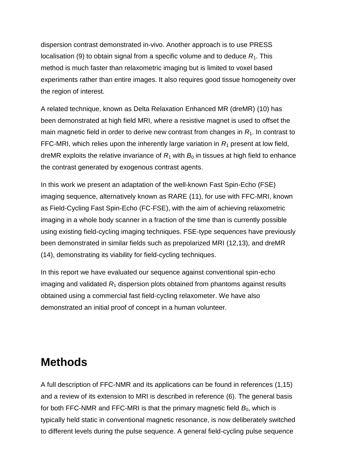dispersion contrast demonstrated in-vivo. Another approach is to use PRESS localisation (9) to obtain signal from a specific volume and to deduce  $R_1$ . This method is much faster than relaxometric imaging but is limited to voxel based experiments rather than entire images. It also requires good tissue homogeneity over the region of interest.

A related technique, known as Delta Relaxation Enhanced MR (dreMR) (10) has been demonstrated at high field MRI, where a resistive magnet is used to offset the main magnetic field in order to derive new contrast from changes in  $R_1$ . In contrast to FFC-MRI, which relies upon the inherently large variation in  $R<sub>1</sub>$  present at low field, dreMR exploits the relative invariance of  $R_1$  with  $B_0$  in tissues at high field to enhance the contrast generated by exogenous contrast agents.

In this work we present an adaptation of the well-known Fast Spin-Echo (FSE) imaging sequence, alternatively known as RARE (11), for use with FFC-MRI, known as Field-Cycling Fast Spin-Echo (FC-FSE), with the aim of achieving relaxometric imaging in a whole body scanner in a fraction of the time than is currently possible using existing field-cycling imaging techniques. FSE-type sequences have previously been demonstrated in similar fields such as prepolarized MRI (12,13), and dreMR (14), demonstrating its viability for field-cycling techniques.

In this report we have evaluated our sequence against conventional spin-echo imaging and validated  $R_1$  dispersion plots obtained from phantoms against results obtained using a commercial fast field-cycling relaxometer. We have also demonstrated an initial proof of concept in a human volunteer.

### **Methods**

A full description of FFC-NMR and its applications can be found in references (1,15) and a review of its extension to MRI is described in reference (6). The general basis for both FFC-NMR and FFC-MRI is that the primary magnetic field  $B<sub>0</sub>$ , which is typically held static in conventional magnetic resonance, is now deliberately switched to different levels during the pulse sequence. A general field-cycling pulse sequence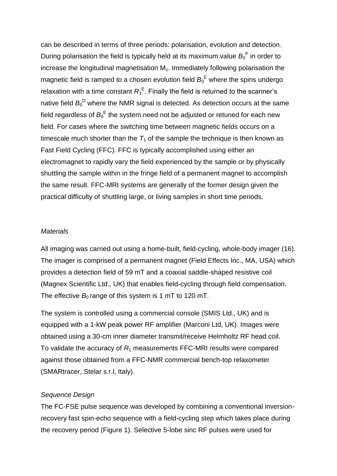can be described in terms of three periods: polarisation, evolution and detection. During polarisation the field is typically held at its maximum value  $B_0^P$  in order to increase the longitudinal magnetisation  $M<sub>z</sub>$ . Immediately following polarisation the magnetic field is ramped to a chosen evolution field  $B_0^E$  where the spins undergo relaxation with a time constant  $R_1^E$ . Finally the field is returned to the scanner's native field  $B_0^D$  where the NMR signal is detected. As detection occurs at the same field regardless of  ${B_0}^{\text{E}}$  the system need not be adjusted or retuned for each new field. For cases where the switching time between magnetic fields occurs on a timescale much shorter than the  $T_1$  of the sample the technique is then known as Fast Field Cycling (FFC). FFC is typically accomplished using either an electromagnet to rapidly vary the field experienced by the sample or by physically shuttling the sample within in the fringe field of a permanent magnet to accomplish the same result. FFC-MRI systems are generally of the former design given the practical difficulty of shuttling large, or living samples in short time periods.

#### *Materials*

All imaging was carried out using a home-built, field-cycling, whole-body imager (16). The imager is comprised of a permanent magnet (Field Effects Inc., MA, USA) which provides a detection field of 59 mT and a coaxial saddle-shaped resistive coil (Magnex Scientific Ltd., UK) that enables field-cycling through field compensation. The effective  $B_0$  range of this system is 1 mT to 120 mT.

The system is controlled using a commercial console (SMIS Ltd., UK) and is equipped with a 1-kW peak power RF amplifier (Marconi Ltd, UK). Images were obtained using a 30-cm inner diameter transmit/receive Helmholtz RF head coil. To validate the accuracy of *R*<sup>1</sup> measurements FFC-MRI results were compared against those obtained from a FFC-NMR commercial bench-top relaxometer (SMARtracer, Stelar s.r.l, Italy).

#### *Sequence Design*

The FC-FSE pulse sequence was developed by combining a conventional inversionrecovery fast spin-echo sequence with a field-cycling step which takes place during the recovery period (Figure 1). Selective 5-lobe sinc RF pulses were used for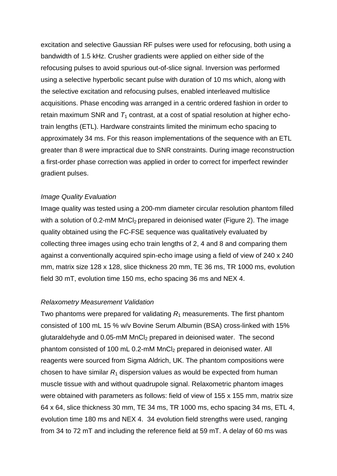excitation and selective Gaussian RF pulses were used for refocusing, both using a bandwidth of 1.5 kHz. Crusher gradients were applied on either side of the refocusing pulses to avoid spurious out-of-slice signal. Inversion was performed using a selective hyperbolic secant pulse with duration of 10 ms which, along with the selective excitation and refocusing pulses, enabled interleaved multislice acquisitions. Phase encoding was arranged in a centric ordered fashion in order to retain maximum SNR and  $T_1$  contrast, at a cost of spatial resolution at higher echotrain lengths (ETL). Hardware constraints limited the minimum echo spacing to approximately 34 ms. For this reason implementations of the sequence with an ETL greater than 8 were impractical due to SNR constraints. During image reconstruction a first-order phase correction was applied in order to correct for imperfect rewinder gradient pulses.

#### *Image Quality Evaluation*

Image quality was tested using a 200-mm diameter circular resolution phantom filled with a solution of 0.2-mM MnCl<sub>2</sub> prepared in deionised water (Figure 2). The image quality obtained using the FC-FSE sequence was qualitatively evaluated by collecting three images using echo train lengths of 2, 4 and 8 and comparing them against a conventionally acquired spin-echo image using a field of view of 240 x 240 mm, matrix size 128 x 128, slice thickness 20 mm, TE 36 ms, TR 1000 ms, evolution field 30 mT, evolution time 150 ms, echo spacing 36 ms and NEX 4.

#### *Relaxometry Measurement Validation*

Two phantoms were prepared for validating  $R_1$  measurements. The first phantom consisted of 100 mL 15 % w/v Bovine Serum Albumin (BSA) cross-linked with 15% glutaraldehyde and 0.05-mM MnCl<sub>2</sub> prepared in deionised water. The second phantom consisted of 100 mL 0.2-mM MnCl<sub>2</sub> prepared in deionised water. All reagents were sourced from Sigma Aldrich, UK. The phantom compositions were chosen to have similar  $R_1$  dispersion values as would be expected from human muscle tissue with and without quadrupole signal. Relaxometric phantom images were obtained with parameters as follows: field of view of 155 x 155 mm, matrix size 64 x 64, slice thickness 30 mm, TE 34 ms, TR 1000 ms, echo spacing 34 ms, ETL 4, evolution time 180 ms and NEX 4. 34 evolution field strengths were used, ranging from 34 to 72 mT and including the reference field at 59 mT. A delay of 60 ms was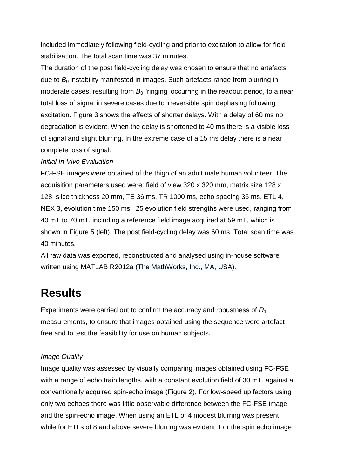included immediately following field-cycling and prior to excitation to allow for field stabilisation. The total scan time was 37 minutes.

The duration of the post field-cycling delay was chosen to ensure that no artefacts due to  $B<sub>0</sub>$  instability manifested in images. Such artefacts range from blurring in moderate cases, resulting from  $B<sub>0</sub>$  'ringing' occurring in the readout period, to a near total loss of signal in severe cases due to irreversible spin dephasing following excitation. Figure 3 shows the effects of shorter delays. With a delay of 60 ms no degradation is evident. When the delay is shortened to 40 ms there is a visible loss of signal and slight blurring. In the extreme case of a 15 ms delay there is a near complete loss of signal.

#### *Initial In-Vivo Evaluation*

FC-FSE images were obtained of the thigh of an adult male human volunteer. The acquisition parameters used were: field of view 320 x 320 mm, matrix size 128 x 128, slice thickness 20 mm, TE 36 ms, TR 1000 ms, echo spacing 36 ms, ETL 4, NEX 3, evolution time 150 ms. 25 evolution field strengths were used, ranging from 40 mT to 70 mT, including a reference field image acquired at 59 mT, which is shown in Figure 5 (left). The post field-cycling delay was 60 ms. Total scan time was 40 minutes.

All raw data was exported, reconstructed and analysed using in-house software written using MATLAB R2012a (The MathWorks, Inc., MA, USA).

### **Results**

Experiments were carried out to confirm the accuracy and robustness of *R*<sup>1</sup> measurements, to ensure that images obtained using the sequence were artefact free and to test the feasibility for use on human subjects.

#### *Image Quality*

Image quality was assessed by visually comparing images obtained using FC-FSE with a range of echo train lengths, with a constant evolution field of 30 mT, against a conventionally acquired spin-echo image (Figure 2). For low-speed up factors using only two echoes there was little observable difference between the FC-FSE image and the spin-echo image. When using an ETL of 4 modest blurring was present while for ETLs of 8 and above severe blurring was evident. For the spin echo image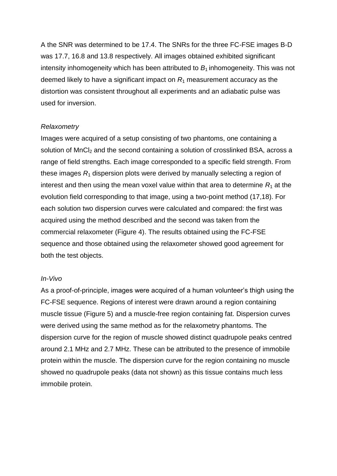A the SNR was determined to be 17.4. The SNRs for the three FC-FSE images B-D was 17.7, 16.8 and 13.8 respectively. All images obtained exhibited significant intensity inhomogeneity which has been attributed to  $B<sub>1</sub>$  inhomogeneity. This was not deemed likely to have a significant impact on *R*<sup>1</sup> measurement accuracy as the distortion was consistent throughout all experiments and an adiabatic pulse was used for inversion.

#### *Relaxometry*

Images were acquired of a setup consisting of two phantoms, one containing a solution of MnCl<sub>2</sub> and the second containing a solution of crosslinked BSA, across a range of field strengths. Each image corresponded to a specific field strength. From these images *R*<sup>1</sup> dispersion plots were derived by manually selecting a region of interest and then using the mean voxel value within that area to determine  $R_1$  at the evolution field corresponding to that image, using a two-point method (17,18). For each solution two dispersion curves were calculated and compared: the first was acquired using the method described and the second was taken from the commercial relaxometer (Figure 4). The results obtained using the FC-FSE sequence and those obtained using the relaxometer showed good agreement for both the test objects.

#### *In-Vivo*

As a proof-of-principle, images were acquired of a human volunteer's thigh using the FC-FSE sequence. Regions of interest were drawn around a region containing muscle tissue (Figure 5) and a muscle-free region containing fat. Dispersion curves were derived using the same method as for the relaxometry phantoms. The dispersion curve for the region of muscle showed distinct quadrupole peaks centred around 2.1 MHz and 2.7 MHz. These can be attributed to the presence of immobile protein within the muscle. The dispersion curve for the region containing no muscle showed no quadrupole peaks (data not shown) as this tissue contains much less immobile protein.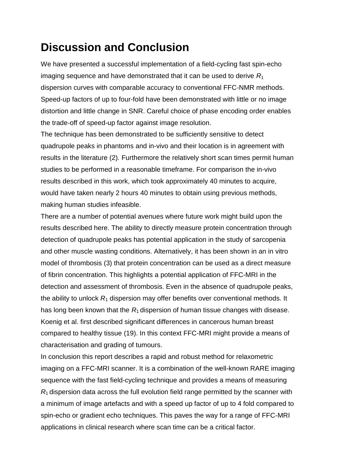## **Discussion and Conclusion**

We have presented a successful implementation of a field-cycling fast spin-echo imaging sequence and have demonstrated that it can be used to derive *R*<sup>1</sup> dispersion curves with comparable accuracy to conventional FFC-NMR methods. Speed-up factors of up to four-fold have been demonstrated with little or no image distortion and little change in SNR. Careful choice of phase encoding order enables the trade-off of speed-up factor against image resolution.

The technique has been demonstrated to be sufficiently sensitive to detect quadrupole peaks in phantoms and in-vivo and their location is in agreement with results in the literature (2)*.* Furthermore the relatively short scan times permit human studies to be performed in a reasonable timeframe. For comparison the in-vivo results described in this work, which took approximately 40 minutes to acquire, would have taken nearly 2 hours 40 minutes to obtain using previous methods, making human studies infeasible.

There are a number of potential avenues where future work might build upon the results described here. The ability to directly measure protein concentration through detection of quadrupole peaks has potential application in the study of sarcopenia and other muscle wasting conditions. Alternatively, it has been shown in an in vitro model of thrombosis (3) that protein concentration can be used as a direct measure of fibrin concentration. This highlights a potential application of FFC-MRI in the detection and assessment of thrombosis. Even in the absence of quadrupole peaks, the ability to unlock *R*<sup>1</sup> dispersion may offer benefits over conventional methods. It has long been known that the  $R_1$  dispersion of human tissue changes with disease. Koenig et al. first described significant differences in cancerous human breast compared to healthy tissue (19). In this context FFC-MRI might provide a means of characterisation and grading of tumours.

In conclusion this report describes a rapid and robust method for relaxometric imaging on a FFC-MRI scanner. It is a combination of the well-known RARE imaging sequence with the fast field-cycling technique and provides a means of measuring *R*1 dispersion data across the full evolution field range permitted by the scanner with a minimum of image artefacts and with a speed up factor of up to 4 fold compared to spin-echo or gradient echo techniques. This paves the way for a range of FFC-MRI applications in clinical research where scan time can be a critical factor.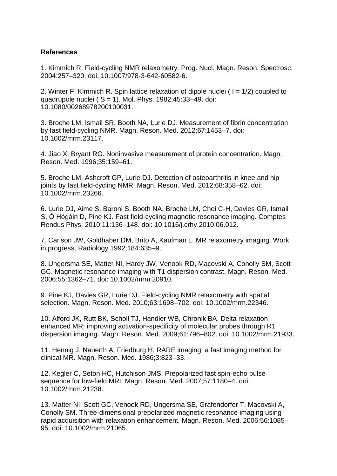#### **References**

1. Kimmich R. Field-cycling NMR relaxometry. Prog. Nucl. Magn. Reson. Spectrosc. 2004:257–320. doi: 10.1007/978-3-642-60582-6.

2. Winter F, Kimmich R. Spin lattice relaxation of dipole nuclei ( $I = 1/2$ ) coupled to quadrupole nuclei ( $S = 1$ ). Mol. Phys. 1982;45:33-49. doi: 10.1080/00268978200100031.

3. Broche LM, Ismail SR, Booth NA, Lurie DJ. Measurement of fibrin concentration by fast field-cycling NMR. Magn. Reson. Med. 2012;67:1453–7. doi: 10.1002/mrm.23117.

4. Jiao X, Bryant RG. Noninvasive measurement of protein concentration. Magn. Reson. Med. 1996;35:159–61.

5. Broche LM, Ashcroft GP, Lurie DJ. Detection of osteoarthritis in knee and hip joints by fast field-cycling NMR. Magn. Reson. Med. 2012;68:358–62. doi: 10.1002/mrm.23266.

6. Lurie DJ, Aime S, Baroni S, Booth NA, Broche LM, Choi C-H, Davies GR, Ismail S, Ó Hógáin D, Pine KJ. Fast field-cycling magnetic resonance imaging. Comptes Rendus Phys. 2010;11:136–148. doi: 10.1016/j.crhy.2010.06.012.

7. Carlson JW, Goldhaber DM, Brito A, Kaufman L. MR relaxometry imaging. Work in progress. Radiology 1992;184:635–9.

8. Ungersma SE, Matter NI, Hardy JW, Venook RD, Macovski A, Conolly SM, Scott GC. Magnetic resonance imaging with T1 dispersion contrast. Magn. Reson. Med. 2006;55:1362–71. doi: 10.1002/mrm.20910.

9. Pine KJ, Davies GR, Lurie DJ. Field-cycling NMR relaxometry with spatial selection. Magn. Reson. Med. 2010;63:1698–702. doi: 10.1002/mrm.22346.

10. Alford JK, Rutt BK, Scholl TJ, Handler WB, Chronik BA. Delta relaxation enhanced MR: improving activation-specificity of molecular probes through R1 dispersion imaging. Magn. Reson. Med. 2009;61:796–802. doi: 10.1002/mrm.21933.

11. Hennig J, Nauerth A, Friedburg H. RARE imaging: a fast imaging method for clinical MR. Magn. Reson. Med. 1986;3:823–33.

12. Kegler C, Seton HC, Hutchison JMS. Prepolarized fast spin-echo pulse sequence for low-field MRI. Magn. Reson. Med. 2007;57:1180–4. doi: 10.1002/mrm.21238.

13. Matter NI, Scott GC, Venook RD, Ungersma SE, Grafendorfer T, Macovski A, Conolly SM. Three-dimensional prepolarized magnetic resonance imaging using rapid acquisition with relaxation enhancement. Magn. Reson. Med. 2006;56:1085– 95. doi: 10.1002/mrm.21065.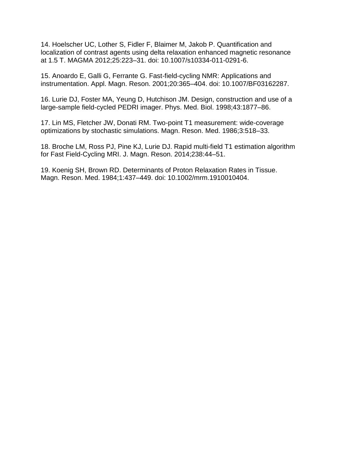14. Hoelscher UC, Lother S, Fidler F, Blaimer M, Jakob P. Quantification and localization of contrast agents using delta relaxation enhanced magnetic resonance at 1.5 T. MAGMA 2012;25:223–31. doi: 10.1007/s10334-011-0291-6.

15. Anoardo E, Galli G, Ferrante G. Fast-field-cycling NMR: Applications and instrumentation. Appl. Magn. Reson. 2001;20:365–404. doi: 10.1007/BF03162287.

16. Lurie DJ, Foster MA, Yeung D, Hutchison JM. Design, construction and use of a large-sample field-cycled PEDRI imager. Phys. Med. Biol. 1998;43:1877–86.

17. Lin MS, Fletcher JW, Donati RM. Two-point T1 measurement: wide-coverage optimizations by stochastic simulations. Magn. Reson. Med. 1986;3:518–33.

18. Broche LM, Ross PJ, Pine KJ, Lurie DJ. Rapid multi-field T1 estimation algorithm for Fast Field-Cycling MRI. J. Magn. Reson. 2014;238:44–51.

19. Koenig SH, Brown RD. Determinants of Proton Relaxation Rates in Tissue. Magn. Reson. Med. 1984;1:437–449. doi: 10.1002/mrm.1910010404.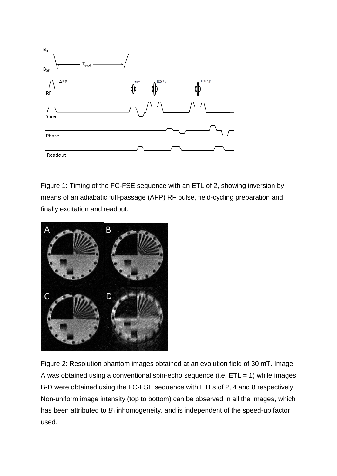

Figure 1: Timing of the FC-FSE sequence with an ETL of 2, showing inversion by means of an adiabatic full-passage (AFP) RF pulse, field-cycling preparation and finally excitation and readout.



Figure 2: Resolution phantom images obtained at an evolution field of 30 mT. Image A was obtained using a conventional spin-echo sequence (i.e.  $ETL = 1$ ) while images B-D were obtained using the FC-FSE sequence with ETLs of 2, 4 and 8 respectively Non-uniform image intensity (top to bottom) can be observed in all the images, which has been attributed to  $B_1$  inhomogeneity, and is independent of the speed-up factor used.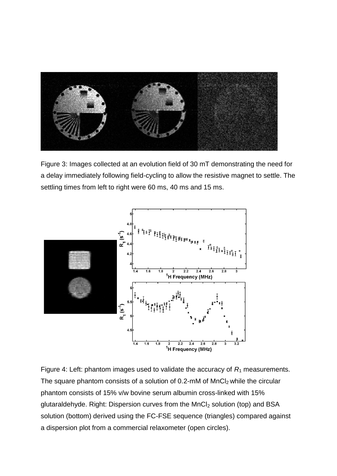

Figure 3: Images collected at an evolution field of 30 mT demonstrating the need for a delay immediately following field-cycling to allow the resistive magnet to settle. The settling times from left to right were 60 ms, 40 ms and 15 ms.



Figure 4: Left: phantom images used to validate the accuracy of  $R_1$  measurements. The square phantom consists of a solution of  $0.2$ -mM of  $MnCl<sub>2</sub>$  while the circular phantom consists of 15% v/w bovine serum albumin cross-linked with 15% glutaraldehyde. Right: Dispersion curves from the  $MnCl<sub>2</sub>$  solution (top) and BSA solution (bottom) derived using the FC-FSE sequence (triangles) compared against a dispersion plot from a commercial relaxometer (open circles).